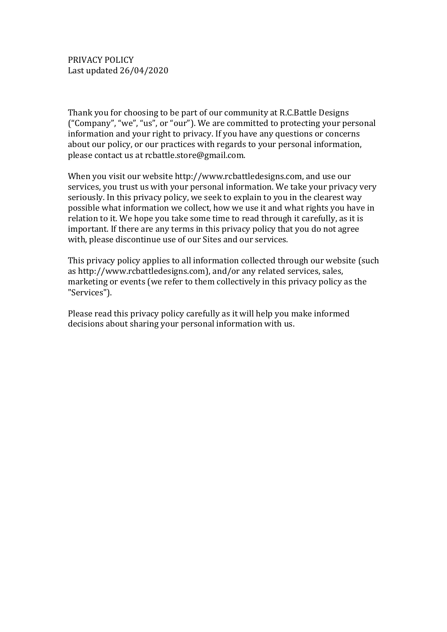Thank you for choosing to be part of our community at R.C.Battle Designs ("Company", "we", "us", or "our"). We are committed to protecting your personal information and your right to privacy. If you have any questions or concerns about our policy, or our practices with regards to your personal information, please contact us at rcbattle.store@gmail.com.

When you visit our website http://www.rcbattledesigns.com, and use our services, you trust us with your personal information. We take your privacy very seriously. In this privacy policy, we seek to explain to you in the clearest way possible what information we collect, how we use it and what rights you have in relation to it. We hope you take some time to read through it carefully, as it is important. If there are any terms in this privacy policy that you do not agree with, please discontinue use of our Sites and our services.

This privacy policy applies to all information collected through our website (such as http://www.rcbattledesigns.com), and/or any related services, sales, marketing or events (we refer to them collectively in this privacy policy as the "Services").

Please read this privacy policy carefully as it will help you make informed decisions about sharing your personal information with us.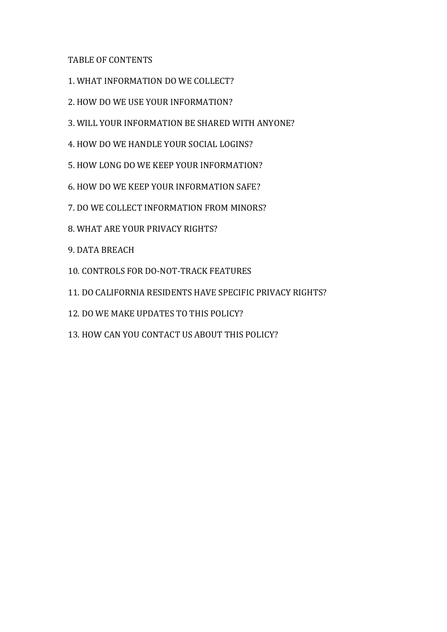TABLE OF CONTENTS

- 1. WHAT INFORMATION DO WE COLLECT?
- 2. HOW DO WE USE YOUR INFORMATION?
- 3. WILL YOUR INFORMATION BE SHARED WITH ANYONE?
- 4. HOW DO WE HANDLE YOUR SOCIAL LOGINS?
- 5. HOW LONG DO WE KEEP YOUR INFORMATION?
- 6. HOW DO WE KEEP YOUR INFORMATION SAFE?
- 7. DO WE COLLECT INFORMATION FROM MINORS?
- 8. WHAT ARE YOUR PRIVACY RIGHTS?
- 9. DATA BREACH
- 10. CONTROLS FOR DO-NOT-TRACK FEATURES
- 11. DO CALIFORNIA RESIDENTS HAVE SPECIFIC PRIVACY RIGHTS?
- 12. DO WE MAKE UPDATES TO THIS POLICY?
- 13. HOW CAN YOU CONTACT US ABOUT THIS POLICY?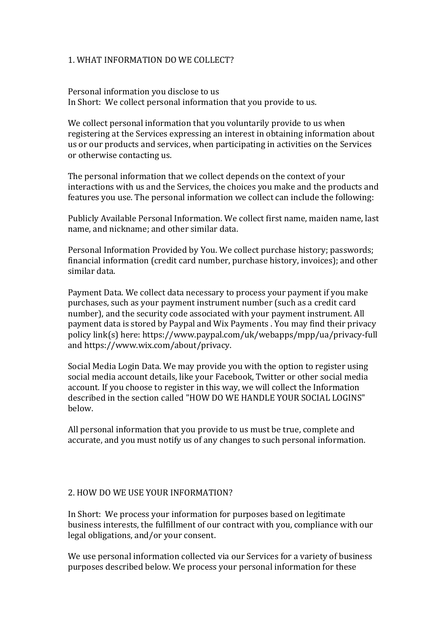# 1. WHAT INFORMATION DO WE COLLECT?

Personal information you disclose to us In Short: We collect personal information that you provide to us.

We collect personal information that you voluntarily provide to us when registering at the Services expressing an interest in obtaining information about us or our products and services, when participating in activities on the Services or otherwise contacting us.

The personal information that we collect depends on the context of your interactions with us and the Services, the choices you make and the products and features you use. The personal information we collect can include the following:

Publicly Available Personal Information. We collect first name, maiden name, last name, and nickname; and other similar data.

Personal Information Provided by You. We collect purchase history; passwords; financial information (credit card number, purchase history, invoices); and other similar data.

Payment Data. We collect data necessary to process your payment if you make purchases, such as your payment instrument number (such as a credit card number), and the security code associated with your payment instrument. All payment data is stored by Paypal and Wix Payments . You may find their privacy policy link(s) here: https://www.paypal.com/uk/webapps/mpp/ua/privacy-full and https://www.wix.com/about/privacy.

Social Media Login Data. We may provide you with the option to register using social media account details, like your Facebook, Twitter or other social media account. If you choose to register in this way, we will collect the Information described in the section called "HOW DO WE HANDLE YOUR SOCIAL LOGINS" below.

All personal information that you provide to us must be true, complete and accurate, and you must notify us of any changes to such personal information.

#### 2. HOW DO WE USE YOUR INFORMATION?

In Short: We process your information for purposes based on legitimate business interests, the fulfillment of our contract with you, compliance with our legal obligations, and/or your consent.

We use personal information collected via our Services for a variety of business purposes described below. We process your personal information for these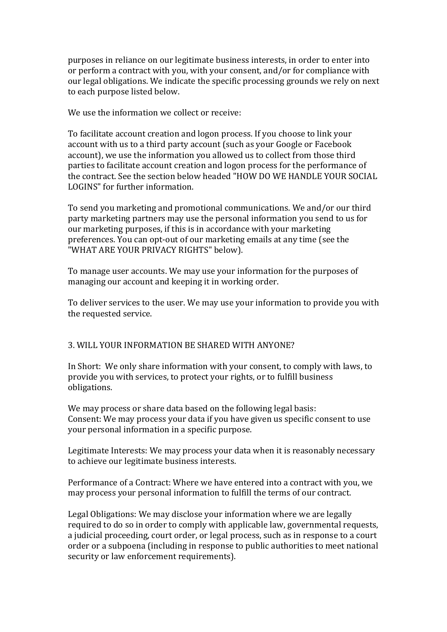purposes in reliance on our legitimate business interests, in order to enter into or perform a contract with you, with your consent, and/or for compliance with our legal obligations. We indicate the specific processing grounds we rely on next to each purpose listed below.

We use the information we collect or receive:

To facilitate account creation and logon process. If you choose to link your account with us to a third party account (such as your Google or Facebook account), we use the information you allowed us to collect from those third parties to facilitate account creation and logon process for the performance of the contract. See the section below headed "HOW DO WE HANDLE YOUR SOCIAL LOGINS" for further information.

To send you marketing and promotional communications. We and/or our third party marketing partners may use the personal information you send to us for our marketing purposes, if this is in accordance with your marketing preferences. You can opt-out of our marketing emails at any time (see the "WHAT ARE YOUR PRIVACY RIGHTS" below).

To manage user accounts. We may use your information for the purposes of managing our account and keeping it in working order.

To deliver services to the user. We may use your information to provide you with the requested service.

# 3. WILL YOUR INFORMATION BE SHARED WITH ANYONE?

In Short: We only share information with your consent, to comply with laws, to provide you with services, to protect your rights, or to fulfill business obligations.

We may process or share data based on the following legal basis: Consent: We may process your data if you have given us specific consent to use your personal information in a specific purpose.

Legitimate Interests: We may process your data when it is reasonably necessary to achieve our legitimate business interests.

Performance of a Contract: Where we have entered into a contract with you, we may process your personal information to fulfill the terms of our contract.

Legal Obligations: We may disclose your information where we are legally required to do so in order to comply with applicable law, governmental requests, a judicial proceeding, court order, or legal process, such as in response to a court order or a subpoena (including in response to public authorities to meet national security or law enforcement requirements).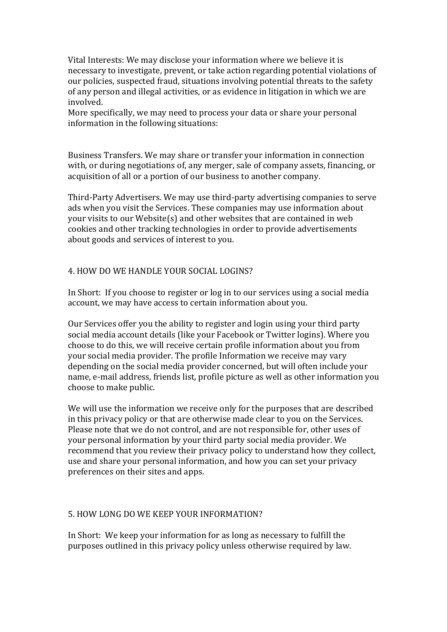Vital Interests: We may disclose your information where we believe it is necessary to investigate, prevent, or take action regarding potential violations of our policies, suspected fraud, situations involving potential threats to the safety of any person and illegal activities, or as evidence in litigation in which we are involved.

More specifically, we may need to process your data or share your personal information in the following situations:

Business Transfers. We may share or transfer your information in connection with, or during negotiations of, any merger, sale of company assets, financing, or acquisition of all or a portion of our business to another company.

Third-Party Advertisers. We may use third-party advertising companies to serve ads when you visit the Services. These companies may use information about your visits to our Website(s) and other websites that are contained in web cookies and other tracking technologies in order to provide advertisements about goods and services of interest to you.

#### 4. HOW DO WE HANDLE YOUR SOCIAL LOGINS?

In Short: If you choose to register or log in to our services using a social media account, we may have access to certain information about you.

Our Services offer you the ability to register and login using your third party social media account details (like your Facebook or Twitter logins). Where you choose to do this, we will receive certain profile information about you from your social media provider. The profile Information we receive may vary depending on the social media provider concerned, but will often include your name, e-mail address, friends list, profile picture as well as other information you choose to make public.

We will use the information we receive only for the purposes that are described in this privacy policy or that are otherwise made clear to you on the Services. Please note that we do not control, and are not responsible for, other uses of your personal information by your third party social media provider. We recommend that you review their privacy policy to understand how they collect, use and share your personal information, and how you can set your privacy preferences on their sites and apps.

#### 5. HOW LONG DO WE KEEP YOUR INFORMATION?

In Short: We keep your information for as long as necessary to fulfill the purposes outlined in this privacy policy unless otherwise required by law.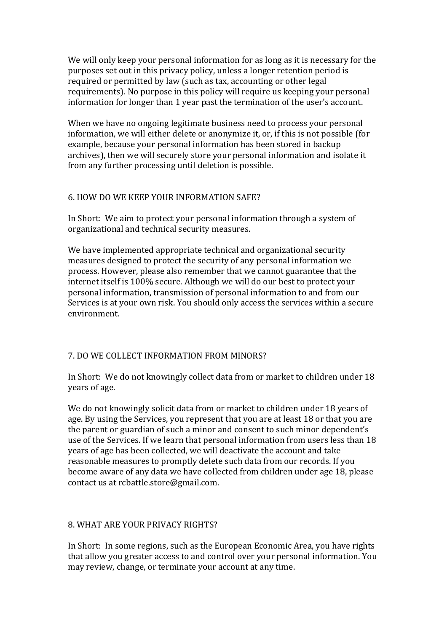We will only keep your personal information for as long as it is necessary for the purposes set out in this privacy policy, unless a longer retention period is required or permitted by law (such as tax, accounting or other legal requirements). No purpose in this policy will require us keeping your personal information for longer than 1 year past the termination of the user's account.

When we have no ongoing legitimate business need to process your personal information, we will either delete or anonymize it, or, if this is not possible (for example, because your personal information has been stored in backup archives), then we will securely store your personal information and isolate it from any further processing until deletion is possible.

#### 6. HOW DO WE KEEP YOUR INFORMATION SAFE?

In Short: We aim to protect your personal information through a system of organizational and technical security measures.

We have implemented appropriate technical and organizational security measures designed to protect the security of any personal information we process. However, please also remember that we cannot guarantee that the internet itself is 100% secure. Although we will do our best to protect your personal information, transmission of personal information to and from our Services is at your own risk. You should only access the services within a secure environment.

# 7. DO WE COLLECT INFORMATION FROM MINORS?

In Short: We do not knowingly collect data from or market to children under 18 years of age.

We do not knowingly solicit data from or market to children under 18 years of age. By using the Services, you represent that you are at least 18 or that you are the parent or guardian of such a minor and consent to such minor dependent's use of the Services. If we learn that personal information from users less than 18 years of age has been collected, we will deactivate the account and take reasonable measures to promptly delete such data from our records. If you become aware of any data we have collected from children under age 18, please contact us at rcbattle.store@gmail.com.

# 8. WHAT ARE YOUR PRIVACY RIGHTS?

In Short: In some regions, such as the European Economic Area, you have rights that allow you greater access to and control over your personal information. You may review, change, or terminate your account at any time.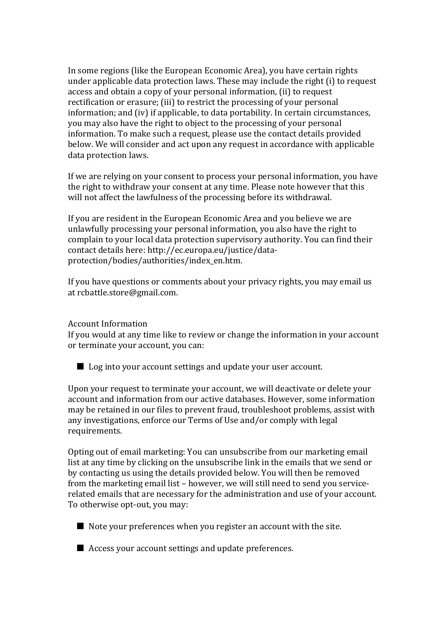In some regions (like the European Economic Area), you have certain rights under applicable data protection laws. These may include the right (i) to request access and obtain a copy of your personal information, (ii) to request rectification or erasure; (iii) to restrict the processing of your personal information; and (iv) if applicable, to data portability. In certain circumstances, you may also have the right to object to the processing of your personal information. To make such a request, please use the contact details provided below. We will consider and act upon any request in accordance with applicable data protection laws.

If we are relying on your consent to process your personal information, you have the right to withdraw your consent at any time. Please note however that this will not affect the lawfulness of the processing before its withdrawal.

If you are resident in the European Economic Area and you believe we are unlawfully processing your personal information, you also have the right to complain to your local data protection supervisory authority. You can find their contact details here: http://ec.europa.eu/justice/dataprotection/bodies/authorities/index\_en.htm.

If you have questions or comments about your privacy rights, you may email us at rcbattle.store@gmail.com.

#### Account Information

If you would at any time like to review or change the information in your account or terminate your account, you can:

■ Log into your account settings and update your user account.

Upon your request to terminate your account, we will deactivate or delete your account and information from our active databases. However, some information may be retained in our files to prevent fraud, troubleshoot problems, assist with any investigations, enforce our Terms of Use and/or comply with legal requirements.

Opting out of email marketing: You can unsubscribe from our marketing email list at any time by clicking on the unsubscribe link in the emails that we send or by contacting us using the details provided below. You will then be removed from the marketing email list – however, we will still need to send you servicerelated emails that are necessary for the administration and use of your account. To otherwise opt-out, you may:

- $\blacksquare$  Note your preferences when you register an account with the site.
- $\blacksquare$  Access your account settings and update preferences.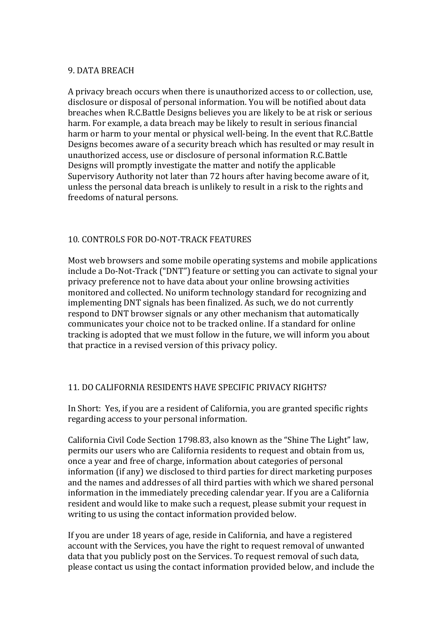# 9. DATA BREACH

A privacy breach occurs when there is unauthorized access to or collection, use, disclosure or disposal of personal information. You will be notified about data breaches when R.C.Battle Designs believes you are likely to be at risk or serious harm. For example, a data breach may be likely to result in serious financial harm or harm to your mental or physical well-being. In the event that R.C.Battle Designs becomes aware of a security breach which has resulted or may result in unauthorized access, use or disclosure of personal information R.C.Battle Designs will promptly investigate the matter and notify the applicable Supervisory Authority not later than 72 hours after having become aware of it, unless the personal data breach is unlikely to result in a risk to the rights and freedoms of natural persons.

# 10. CONTROLS FOR DO-NOT-TRACK FEATURES

Most web browsers and some mobile operating systems and mobile applications include a Do-Not-Track ("DNT") feature or setting you can activate to signal your privacy preference not to have data about your online browsing activities monitored and collected. No uniform technology standard for recognizing and implementing DNT signals has been finalized. As such, we do not currently respond to DNT browser signals or any other mechanism that automatically communicates your choice not to be tracked online. If a standard for online tracking is adopted that we must follow in the future, we will inform you about that practice in a revised version of this privacy policy.

# 11. DO CALIFORNIA RESIDENTS HAVE SPECIFIC PRIVACY RIGHTS?

In Short: Yes, if you are a resident of California, you are granted specific rights regarding access to your personal information.

California Civil Code Section 1798.83, also known as the "Shine The Light" law, permits our users who are California residents to request and obtain from us, once a year and free of charge, information about categories of personal information (if any) we disclosed to third parties for direct marketing purposes and the names and addresses of all third parties with which we shared personal information in the immediately preceding calendar year. If you are a California resident and would like to make such a request, please submit your request in writing to us using the contact information provided below.

If you are under 18 years of age, reside in California, and have a registered account with the Services, you have the right to request removal of unwanted data that you publicly post on the Services. To request removal of such data, please contact us using the contact information provided below, and include the